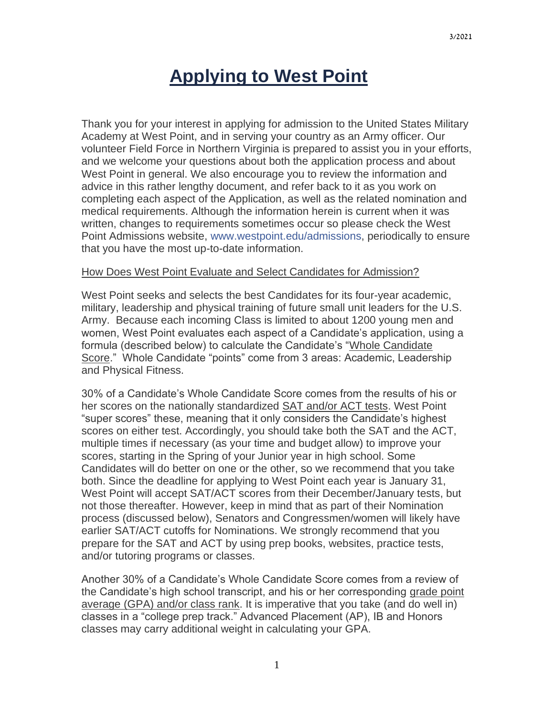# **Applying to West Point**

Thank you for your interest in applying for admission to the United States Military Academy at West Point, and in serving your country as an Army officer. Our volunteer Field Force in Northern Virginia is prepared to assist you in your efforts, and we welcome your questions about both the application process and about West Point in general. We also encourage you to review the information and advice in this rather lengthy document, and refer back to it as you work on completing each aspect of the Application, as well as the related nomination and medical requirements. Although the information herein is current when it was written, changes to requirements sometimes occur so please check the West Point Admissions website, [www.westpoint.edu/admissions,](http://www.westpoint.edu/admissions) periodically to ensure that you have the most up-to-date information.

## How Does West Point Evaluate and Select Candidates for Admission?

West Point seeks and selects the best Candidates for its four-year academic, military, leadership and physical training of future small unit leaders for the U.S. Army. Because each incoming Class is limited to about 1200 young men and women, West Point evaluates each aspect of a Candidate's application, using a formula (described below) to calculate the Candidate's "Whole Candidate Score." Whole Candidate "points" come from 3 areas: Academic, Leadership and Physical Fitness.

30% of a Candidate's Whole Candidate Score comes from the results of his or her scores on the nationally standardized SAT and/or ACT tests. West Point "super scores" these, meaning that it only considers the Candidate's highest scores on either test. Accordingly, you should take both the SAT and the ACT, multiple times if necessary (as your time and budget allow) to improve your scores, starting in the Spring of your Junior year in high school. Some Candidates will do better on one or the other, so we recommend that you take both. Since the deadline for applying to West Point each year is January 31, West Point will accept SAT/ACT scores from their December/January tests, but not those thereafter. However, keep in mind that as part of their Nomination process (discussed below), Senators and Congressmen/women will likely have earlier SAT/ACT cutoffs for Nominations. We strongly recommend that you prepare for the SAT and ACT by using prep books, websites, practice tests, and/or tutoring programs or classes.

Another 30% of a Candidate's Whole Candidate Score comes from a review of the Candidate's high school transcript, and his or her corresponding grade point average (GPA) and/or class rank. It is imperative that you take (and do well in) classes in a "college prep track." Advanced Placement (AP), IB and Honors classes may carry additional weight in calculating your GPA.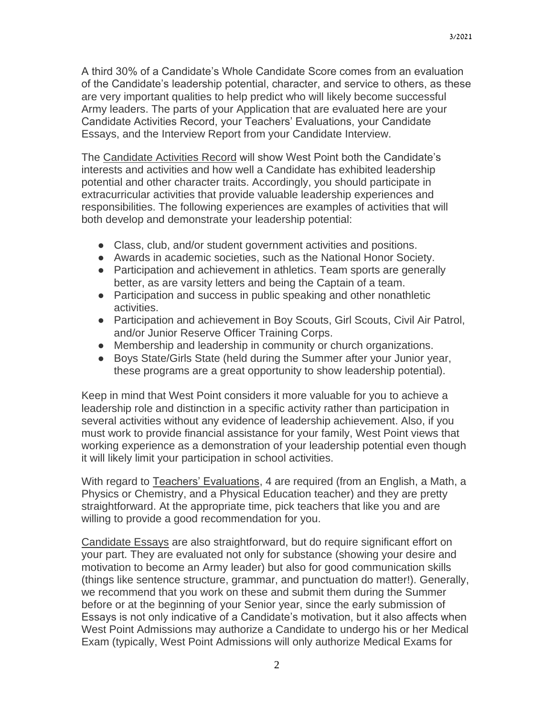A third 30% of a Candidate's Whole Candidate Score comes from an evaluation of the Candidate's leadership potential, character, and service to others, as these are very important qualities to help predict who will likely become successful Army leaders. The parts of your Application that are evaluated here are your Candidate Activities Record, your Teachers' Evaluations, your Candidate Essays, and the Interview Report from your Candidate Interview.

The Candidate Activities Record will show West Point both the Candidate's interests and activities and how well a Candidate has exhibited leadership potential and other character traits. Accordingly, you should participate in extracurricular activities that provide valuable leadership experiences and responsibilities. The following experiences are examples of activities that will both develop and demonstrate your leadership potential:

- Class, club, and/or student government activities and positions.
- Awards in academic societies, such as the National Honor Society.
- Participation and achievement in athletics. Team sports are generally better, as are varsity letters and being the Captain of a team.
- Participation and success in public speaking and other nonathletic activities.
- Participation and achievement in Boy Scouts, Girl Scouts, Civil Air Patrol, and/or Junior Reserve Officer Training Corps.
- Membership and leadership in community or church organizations.
- Boys State/Girls State (held during the Summer after your Junior year, these programs are a great opportunity to show leadership potential).

Keep in mind that West Point considers it more valuable for you to achieve a leadership role and distinction in a specific activity rather than participation in several activities without any evidence of leadership achievement. Also, if you must work to provide financial assistance for your family, West Point views that working experience as a demonstration of your leadership potential even though it will likely limit your participation in school activities.

With regard to Teachers' Evaluations, 4 are required (from an English, a Math, a Physics or Chemistry, and a Physical Education teacher) and they are pretty straightforward. At the appropriate time, pick teachers that like you and are willing to provide a good recommendation for you.

Candidate Essays are also straightforward, but do require significant effort on your part. They are evaluated not only for substance (showing your desire and motivation to become an Army leader) but also for good communication skills (things like sentence structure, grammar, and punctuation do matter!). Generally, we recommend that you work on these and submit them during the Summer before or at the beginning of your Senior year, since the early submission of Essays is not only indicative of a Candidate's motivation, but it also affects when West Point Admissions may authorize a Candidate to undergo his or her Medical Exam (typically, West Point Admissions will only authorize Medical Exams for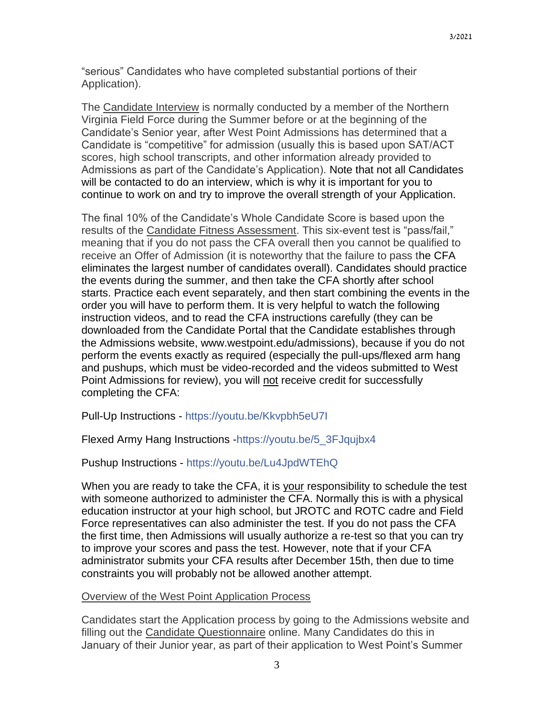"serious" Candidates who have completed substantial portions of their Application).

The Candidate Interview is normally conducted by a member of the Northern Virginia Field Force during the Summer before or at the beginning of the Candidate's Senior year, after West Point Admissions has determined that a Candidate is "competitive" for admission (usually this is based upon SAT/ACT scores, high school transcripts, and other information already provided to Admissions as part of the Candidate's Application). Note that not all Candidates will be contacted to do an interview, which is why it is important for you to continue to work on and try to improve the overall strength of your Application.

The final 10% of the Candidate's Whole Candidate Score is based upon the results of the Candidate Fitness Assessment. This six-event test is "pass/fail," meaning that if you do not pass the CFA overall then you cannot be qualified to receive an Offer of Admission (it is noteworthy that the failure to pass the CFA eliminates the largest number of candidates overall). Candidates should practice the events during the summer, and then take the CFA shortly after school starts. Practice each event separately, and then start combining the events in the order you will have to perform them. It is very helpful to watch the following instruction videos, and to read the CFA instructions carefully (they can be downloaded from the Candidate Portal that the Candidate establishes through the Admissions website, www.westpoint.edu/admissions), because if you do not perform the events exactly as required (especially the pull-ups/flexed arm hang and pushups, which must be video-recorded and the videos submitted to West Point Admissions for review), you will not receive credit for successfully completing the CFA:

Pull-Up Instructions - <https://youtu.be/Kkvpbh5eU7I>

## Flexed Army Hang Instructions [-https://youtu.be/5\\_3FJqujbx4](https://youtu.be/5_3FJqujbx4)

Pushup Instructions - <https://youtu.be/Lu4JpdWTEhQ>

When you are ready to take the CFA, it is your responsibility to schedule the test with someone authorized to administer the CFA. Normally this is with a physical education instructor at your high school, but JROTC and ROTC cadre and Field Force representatives can also administer the test. If you do not pass the CFA the first time, then Admissions will usually authorize a re-test so that you can try to improve your scores and pass the test. However, note that if your CFA administrator submits your CFA results after December 15th, then due to time constraints you will probably not be allowed another attempt.

## Overview of the West Point Application Process

Candidates start the Application process by going to the Admissions website and filling out the Candidate Questionnaire online. Many Candidates do this in January of their Junior year, as part of their application to West Point's Summer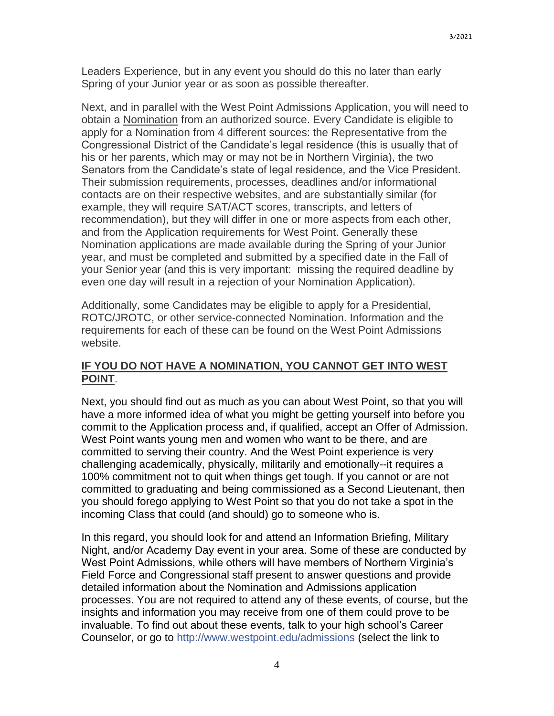Leaders Experience, but in any event you should do this no later than early Spring of your Junior year or as soon as possible thereafter.

Next, and in parallel with the West Point Admissions Application, you will need to obtain a Nomination from an authorized source. Every Candidate is eligible to apply for a Nomination from 4 different sources: the Representative from the Congressional District of the Candidate's legal residence (this is usually that of his or her parents, which may or may not be in Northern Virginia), the two Senators from the Candidate's state of legal residence, and the Vice President. Their submission requirements, processes, deadlines and/or informational contacts are on their respective websites, and are substantially similar (for example, they will require SAT/ACT scores, transcripts, and letters of recommendation), but they will differ in one or more aspects from each other, and from the Application requirements for West Point. Generally these Nomination applications are made available during the Spring of your Junior year, and must be completed and submitted by a specified date in the Fall of your Senior year (and this is very important: missing the required deadline by even one day will result in a rejection of your Nomination Application).

Additionally, some Candidates may be eligible to apply for a Presidential, ROTC/JROTC, or other service-connected Nomination. Information and the requirements for each of these can be found on the West Point Admissions website.

## **IF YOU DO NOT HAVE A NOMINATION, YOU CANNOT GET INTO WEST POINT**.

Next, you should find out as much as you can about West Point, so that you will have a more informed idea of what you might be getting yourself into before you commit to the Application process and, if qualified, accept an Offer of Admission. West Point wants young men and women who want to be there, and are committed to serving their country. And the West Point experience is very challenging academically, physically, militarily and emotionally--it requires a 100% commitment not to quit when things get tough. If you cannot or are not committed to graduating and being commissioned as a Second Lieutenant, then you should forego applying to West Point so that you do not take a spot in the incoming Class that could (and should) go to someone who is.

In this regard, you should look for and attend an Information Briefing, Military Night, and/or Academy Day event in your area. Some of these are conducted by West Point Admissions, while others will have members of Northern Virginia's Field Force and Congressional staff present to answer questions and provide detailed information about the Nomination and Admissions application processes. You are not required to attend any of these events, of course, but the insights and information you may receive from one of them could prove to be invaluable. To find out about these events, talk to your high school's Career Counselor, or go to<http://www.westpoint.edu/admissions> (select the link to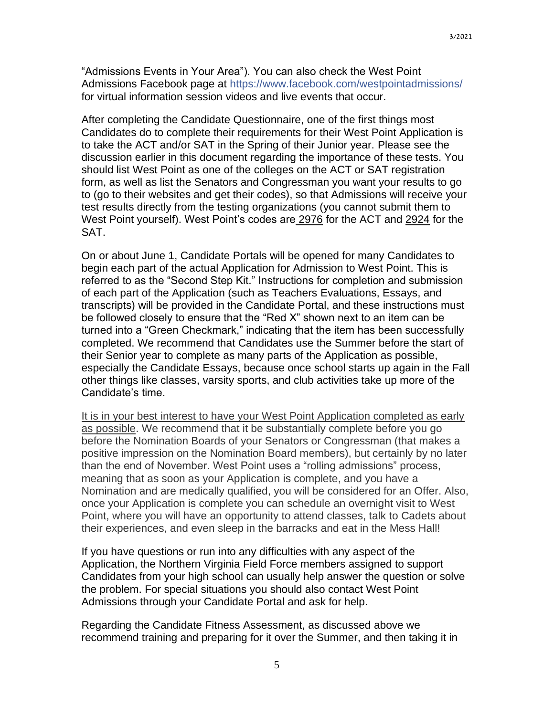"Admissions Events in Your Area"). You can also check the West Point Admissions Facebook page at<https://www.facebook.com/westpointadmissions/> for virtual information session videos and live events that occur.

After completing the Candidate Questionnaire, one of the first things most Candidates do to complete their requirements for their West Point Application is to take the ACT and/or SAT in the Spring of their Junior year. Please see the discussion earlier in this document regarding the importance of these tests. You should list West Point as one of the colleges on the ACT or SAT registration form, as well as list the Senators and Congressman you want your results to go to (go to their websites and get their codes), so that Admissions will receive your test results directly from the testing organizations (you cannot submit them to West Point yourself). West Point's codes are 2976 for the ACT and 2924 for the SAT.

On or about June 1, Candidate Portals will be opened for many Candidates to begin each part of the actual Application for Admission to West Point. This is referred to as the "Second Step Kit." Instructions for completion and submission of each part of the Application (such as Teachers Evaluations, Essays, and transcripts) will be provided in the Candidate Portal, and these instructions must be followed closely to ensure that the "Red X" shown next to an item can be turned into a "Green Checkmark," indicating that the item has been successfully completed. We recommend that Candidates use the Summer before the start of their Senior year to complete as many parts of the Application as possible, especially the Candidate Essays, because once school starts up again in the Fall other things like classes, varsity sports, and club activities take up more of the Candidate's time.

It is in your best interest to have your West Point Application completed as early as possible. We recommend that it be substantially complete before you go before the Nomination Boards of your Senators or Congressman (that makes a positive impression on the Nomination Board members), but certainly by no later than the end of November. West Point uses a "rolling admissions" process, meaning that as soon as your Application is complete, and you have a Nomination and are medically qualified, you will be considered for an Offer. Also, once your Application is complete you can schedule an overnight visit to West Point, where you will have an opportunity to attend classes, talk to Cadets about their experiences, and even sleep in the barracks and eat in the Mess Hall!

If you have questions or run into any difficulties with any aspect of the Application, the Northern Virginia Field Force members assigned to support Candidates from your high school can usually help answer the question or solve the problem. For special situations you should also contact West Point Admissions through your Candidate Portal and ask for help.

Regarding the Candidate Fitness Assessment, as discussed above we recommend training and preparing for it over the Summer, and then taking it in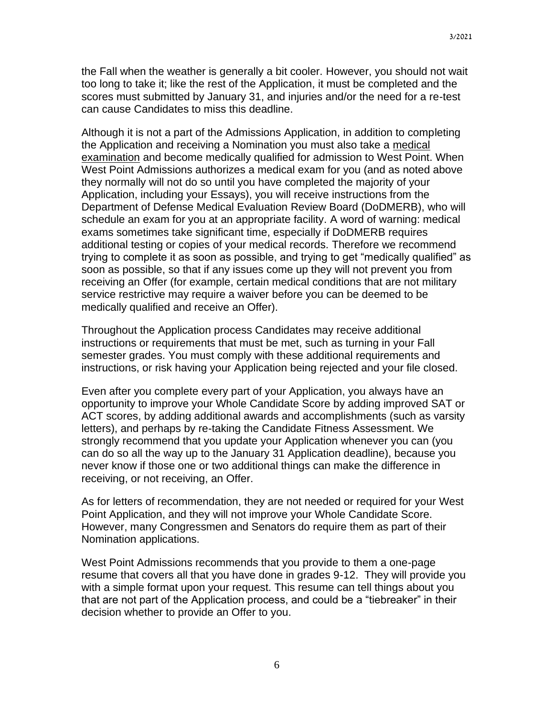the Fall when the weather is generally a bit cooler. However, you should not wait too long to take it; like the rest of the Application, it must be completed and the scores must submitted by January 31, and injuries and/or the need for a re-test can cause Candidates to miss this deadline.

Although it is not a part of the Admissions Application, in addition to completing the Application and receiving a Nomination you must also take a medical examination and become medically qualified for admission to West Point. When West Point Admissions authorizes a medical exam for you (and as noted above they normally will not do so until you have completed the majority of your Application, including your Essays), you will receive instructions from the Department of Defense Medical Evaluation Review Board (DoDMERB), who will schedule an exam for you at an appropriate facility. A word of warning: medical exams sometimes take significant time, especially if DoDMERB requires additional testing or copies of your medical records. Therefore we recommend trying to complete it as soon as possible, and trying to get "medically qualified" as soon as possible, so that if any issues come up they will not prevent you from receiving an Offer (for example, certain medical conditions that are not military service restrictive may require a waiver before you can be deemed to be medically qualified and receive an Offer).

Throughout the Application process Candidates may receive additional instructions or requirements that must be met, such as turning in your Fall semester grades. You must comply with these additional requirements and instructions, or risk having your Application being rejected and your file closed.

Even after you complete every part of your Application, you always have an opportunity to improve your Whole Candidate Score by adding improved SAT or ACT scores, by adding additional awards and accomplishments (such as varsity letters), and perhaps by re-taking the Candidate Fitness Assessment. We strongly recommend that you update your Application whenever you can (you can do so all the way up to the January 31 Application deadline), because you never know if those one or two additional things can make the difference in receiving, or not receiving, an Offer.

As for letters of recommendation, they are not needed or required for your West Point Application, and they will not improve your Whole Candidate Score. However, many Congressmen and Senators do require them as part of their Nomination applications.

West Point Admissions recommends that you provide to them a one-page resume that covers all that you have done in grades 9-12. They will provide you with a simple format upon your request. This resume can tell things about you that are not part of the Application process, and could be a "tiebreaker" in their decision whether to provide an Offer to you.